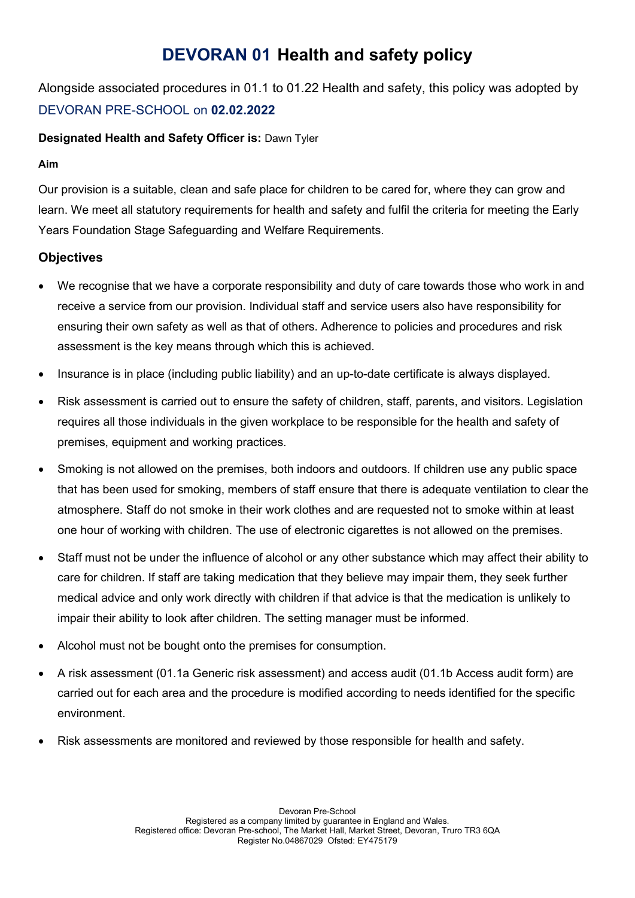# DEVORAN 01 Health and safety policy

Alongside associated procedures in 01.1 to 01.22 Health and safety, this policy was adopted by DEVORAN PRE-SCHOOL on 02.02.2022

### Designated Health and Safety Officer is: Dawn Tyler

#### Aim

Our provision is a suitable, clean and safe place for children to be cared for, where they can grow and learn. We meet all statutory requirements for health and safety and fulfil the criteria for meeting the Early Years Foundation Stage Safeguarding and Welfare Requirements.

## **Objectives**

- We recognise that we have a corporate responsibility and duty of care towards those who work in and receive a service from our provision. Individual staff and service users also have responsibility for ensuring their own safety as well as that of others. Adherence to policies and procedures and risk assessment is the key means through which this is achieved.
- Insurance is in place (including public liability) and an up-to-date certificate is always displayed.
- Risk assessment is carried out to ensure the safety of children, staff, parents, and visitors. Legislation requires all those individuals in the given workplace to be responsible for the health and safety of premises, equipment and working practices.
- Smoking is not allowed on the premises, both indoors and outdoors. If children use any public space that has been used for smoking, members of staff ensure that there is adequate ventilation to clear the atmosphere. Staff do not smoke in their work clothes and are requested not to smoke within at least one hour of working with children. The use of electronic cigarettes is not allowed on the premises.
- Staff must not be under the influence of alcohol or any other substance which may affect their ability to care for children. If staff are taking medication that they believe may impair them, they seek further medical advice and only work directly with children if that advice is that the medication is unlikely to impair their ability to look after children. The setting manager must be informed.
- Alcohol must not be bought onto the premises for consumption.
- A risk assessment (01.1a Generic risk assessment) and access audit (01.1b Access audit form) are carried out for each area and the procedure is modified according to needs identified for the specific environment.
- Risk assessments are monitored and reviewed by those responsible for health and safety.